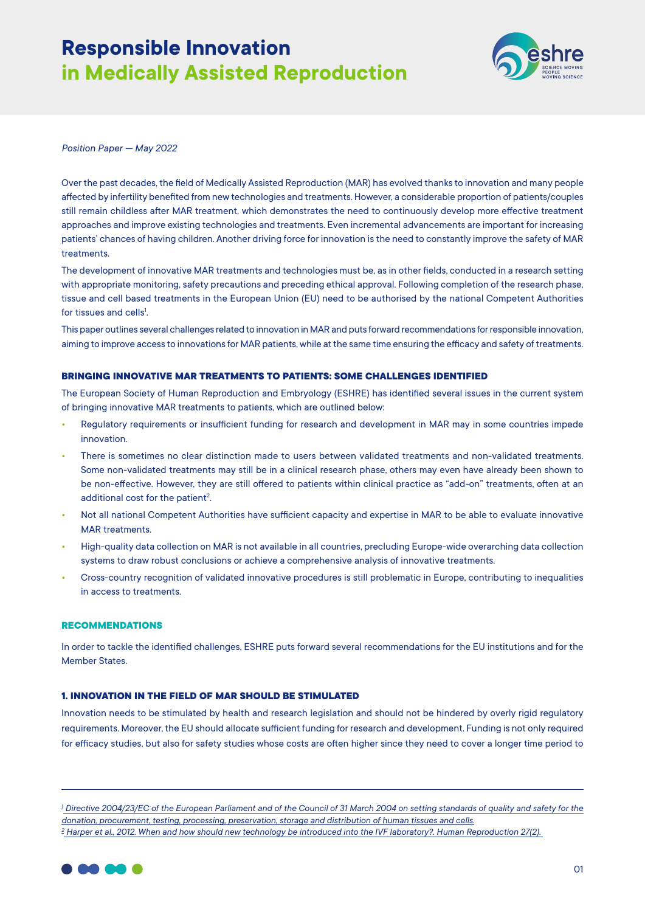# **Responsible Innovation in Medically Assisted Reproduction**



*Position Paper — May 2022*

Over the past decades, the field of Medically Assisted Reproduction (MAR) has evolved thanks to innovation and many people affected by infertility benefited from new technologies and treatments. However, a considerable proportion of patients/couples still remain childless after MAR treatment, which demonstrates the need to continuously develop more effective treatment approaches and improve existing technologies and treatments. Even incremental advancements are important for increasing patients' chances of having children. Another driving force for innovation is the need to constantly improve the safety of MAR treatments.

The development of innovative MAR treatments and technologies must be, as in other fields, conducted in a research setting with appropriate monitoring, safety precautions and preceding ethical approval. Following completion of the research phase, tissue and cell based treatments in the European Union (EU) need to be authorised by the national Competent Authorities for tissues and cells<sup>1</sup>.

This paper outlines several challenges related to innovation in MAR and puts forward recommendations for responsible innovation, aiming to improve access to innovations for MAR patients, while at the same time ensuring the efficacy and safety of treatments.

## **BRINGING INNOVATIVE MAR TREATMENTS TO PATIENTS: SOME CHALLENGES IDENTIFIED**

The European Society of Human Reproduction and Embryology (ESHRE) has identified several issues in the current system of bringing innovative MAR treatments to patients, which are outlined below:

- **•** Regulatory requirements or insufficient funding for research and development in MAR may in some countries impede innovation.
- **•** There is sometimes no clear distinction made to users between validated treatments and non-validated treatments. Some non-validated treatments may still be in a clinical research phase, others may even have already been shown to be non-effective. However, they are still offered to patients within clinical practice as "add-on" treatments, often at an additional cost for the patient<sup>2</sup>. .
- **•** Not all national Competent Authorities have sufficient capacity and expertise in MAR to be able to evaluate innovative MAR treatments.
- **•** High-quality data collection on MAR is not available in all countries, precluding Europe-wide overarching data collection systems to draw robust conclusions or achieve a comprehensive analysis of innovative treatments.
- **•** Cross-country recognition of validated innovative procedures is still problematic in Europe, contributing to inequalities in access to treatments.

## **RECOMMENDATIONS**

In order to tackle the identified challenges, ESHRE puts forward several recommendations for the EU institutions and for the Member States.

## **1. INNOVATION IN THE FIELD OF MAR SHOULD BE STIMULATED**

Innovation needs to be stimulated by health and research legislation and should not be hindered by overly rigid regulatory requirements. Moreover, the EU should allocate sufficient funding for research and development. Funding is not only required for efficacy studies, but also for safety studies whose costs are often higher since they need to cover a longer time period to

*1  [Directive 2004/23/EC of the European Parliament and of the Council of 31 March 2004 on setting standards of quality and safety for the](https://eur-lex.europa.eu/legal-content/EN/TXT/PDF/?uri=CELEX:32004L0023&from=EN )  [donation, procurement, testing, processing, preservation, storage and distribution of human tissues and cells.](https://eur-lex.europa.eu/legal-content/EN/TXT/PDF/?uri=CELEX:32004L0023&from=EN ) 2  [Harper et al., 2012. When and how should new technology be introduced into the IVF laboratory?. Human Reproduction 27\(2\).](https://academic.oup.com/humrep/article/27/2/303/2919328)*